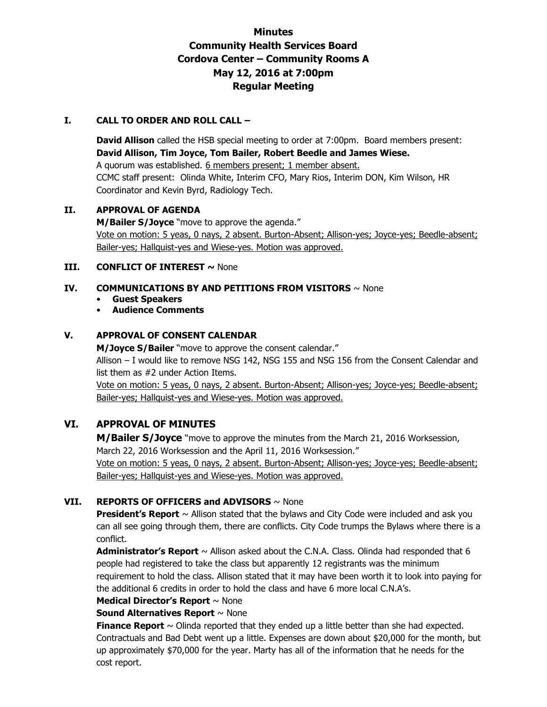# **Minutes Community Health Services Board Cordova Center – Community Rooms A May 12, 2016 at 7:00pm Regular Meeting**

### **I. CALL TO ORDER AND ROLL CALL –**

**David Allison** called the HSB special meeting to order at 7:00pm. Board members present: **David Allison, Tim Joyce, Tom Bailer, Robert Beedle and James Wiese.**  A quorum was established. 6 members present; 1 member absent. CCMC staff present: Olinda White, Interim CFO, Mary Rios, Interim DON, Kim Wilson, HR Coordinator and Kevin Byrd, Radiology Tech.

### **II. APPROVAL OF AGENDA**

**M/Bailer S/Joyce** "move to approve the agenda." Vote on motion: 5 yeas, 0 nays, 2 absent. Burton-Absent; Allison-yes; Joyce-yes; Beedle-absent; Bailer-yes; Hallquist-yes and Wiese-yes. Motion was approved.

### **III. CONFLICT OF INTEREST ~ None**

### **IV. COMMUNICATIONS BY AND PETITIONS FROM VISITORS** ~ None

### • **Guest Speakers**

## • **Audience Comments**

## **V. APPROVAL OF CONSENT CALENDAR**

**M/Joyce S/Bailer** "move to approve the consent calendar." Allison – I would like to remove NSG 142, NSG 155 and NSG 156 from the Consent Calendar and list them as #2 under Action Items.

Vote on motion: 5 yeas, 0 nays, 2 absent. Burton-Absent; Allison-yes; Joyce-yes; Beedle-absent; Bailer-yes; Hallquist-yes and Wiese-yes. Motion was approved.

## **VI. APPROVAL OF MINUTES**

**M/Bailer S/Joyce** "move to approve the minutes from the March 21, 2016 Worksession, March 22, 2016 Worksession and the April 11, 2016 Worksession." Vote on motion: 5 yeas, 0 nays, 2 absent. Burton-Absent; Allison-yes; Joyce-yes; Beedle-absent;

Bailer-yes; Hallquist-yes and Wiese-yes. Motion was approved.

## **VII. REPORTS OF OFFICERS and ADVISORS** ~ None

**President's Report** ~ Allison stated that the bylaws and City Code were included and ask you can all see going through them, there are conflicts. City Code trumps the Bylaws where there is a conflict.

**Administrator's Report** ~ Allison asked about the C.N.A. Class. Olinda had responded that 6 people had registered to take the class but apparently 12 registrants was the minimum requirement to hold the class. Allison stated that it may have been worth it to look into paying for the additional 6 credits in order to hold the class and have 6 more local C.N.A's.

# **Medical Director's Report** ~ None

**Sound Alternatives Report** ~ None

**Finance Report**  $\sim$  Olinda reported that they ended up a little better than she had expected. Contractuals and Bad Debt went up a little. Expenses are down about \$20,000 for the month, but up approximately \$70,000 for the year. Marty has all of the information that he needs for the cost report.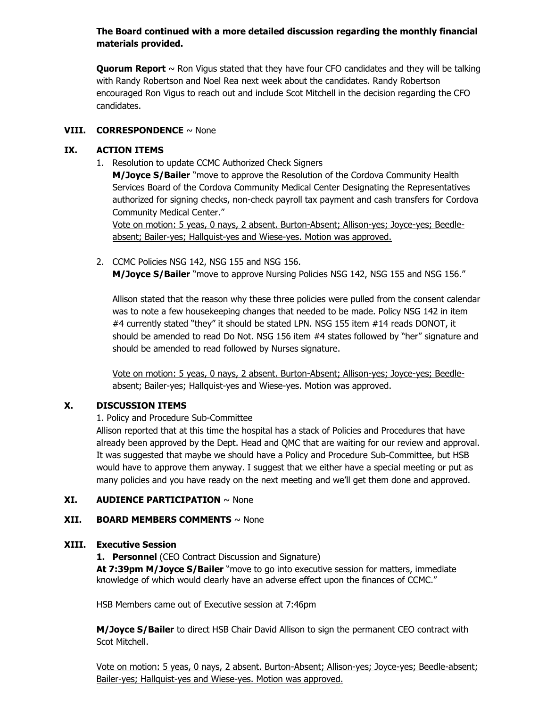## **The Board continued with a more detailed discussion regarding the monthly financial materials provided.**

**Quorum Report** ~ Ron Vigus stated that they have four CFO candidates and they will be talking with Randy Robertson and Noel Rea next week about the candidates. Randy Robertson encouraged Ron Vigus to reach out and include Scot Mitchell in the decision regarding the CFO candidates.

## **VIII. CORRESPONDENCE** ~ None

### **IX. ACTION ITEMS**

1. Resolution to update CCMC Authorized Check Signers

**M/Joyce S/Bailer** "move to approve the Resolution of the Cordova Community Health Services Board of the Cordova Community Medical Center Designating the Representatives authorized for signing checks, non-check payroll tax payment and cash transfers for Cordova Community Medical Center."

Vote on motion: 5 yeas, 0 nays, 2 absent. Burton-Absent; Allison-yes; Joyce-yes; Beedleabsent; Bailer-yes; Hallquist-yes and Wiese-yes. Motion was approved.

2. CCMC Policies NSG 142, NSG 155 and NSG 156. **M/Joyce S/Bailer** "move to approve Nursing Policies NSG 142, NSG 155 and NSG 156."

Allison stated that the reason why these three policies were pulled from the consent calendar was to note a few housekeeping changes that needed to be made. Policy NSG 142 in item #4 currently stated "they" it should be stated LPN. NSG 155 item #14 reads DONOT, it should be amended to read Do Not. NSG 156 item #4 states followed by "her" signature and should be amended to read followed by Nurses signature.

Vote on motion: 5 yeas, 0 nays, 2 absent. Burton-Absent; Allison-yes; Joyce-yes; Beedleabsent; Bailer-yes; Hallquist-yes and Wiese-yes. Motion was approved.

## **X. DISCUSSION ITEMS**

1. Policy and Procedure Sub-Committee

Allison reported that at this time the hospital has a stack of Policies and Procedures that have already been approved by the Dept. Head and QMC that are waiting for our review and approval. It was suggested that maybe we should have a Policy and Procedure Sub-Committee, but HSB would have to approve them anyway. I suggest that we either have a special meeting or put as many policies and you have ready on the next meeting and we'll get them done and approved.

### **XI. AUDIENCE PARTICIPATION** ~ None

### **XII. BOARD MEMBERS COMMENTS** ~ None

### **XIII. Executive Session**

**1. Personnel** (CEO Contract Discussion and Signature)  **At 7:39pm M/Joyce S/Bailer** "move to go into executive session for matters, immediate knowledge of which would clearly have an adverse effect upon the finances of CCMC."

HSB Members came out of Executive session at 7:46pm

**M/Joyce S/Bailer** to direct HSB Chair David Allison to sign the permanent CEO contract with Scot Mitchell.

Vote on motion: 5 yeas, 0 nays, 2 absent. Burton-Absent; Allison-yes; Joyce-yes; Beedle-absent; Bailer-yes; Hallquist-yes and Wiese-yes. Motion was approved.